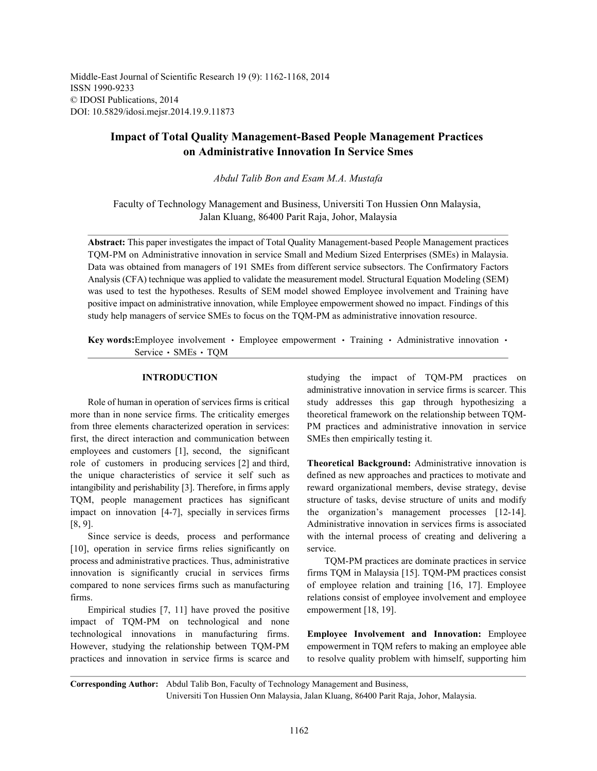Middle-East Journal of Scientific Research 19 (9): 1162-1168, 2014 ISSN 1990-9233 © IDOSI Publications, 2014 DOI: 10.5829/idosi.mejsr.2014.19.9.11873

# **Impact of Total Quality Management-Based People Management Practices on Administrative Innovation In Service Smes**

*Abdul Talib Bon and Esam M.A. Mustafa*

Faculty of Technology Management and Business, Universiti Ton Hussien Onn Malaysia, Jalan Kluang, 86400 Parit Raja, Johor, Malaysia

**Abstract:** This paper investigates the impact of Total Quality Management-based People Management practices TQM-PM on Administrative innovation in service Small and Medium Sized Enterprises (SMEs) in Malaysia. Data was obtained from managers of 191 SMEs from different service subsectors. The Confirmatory Factors Analysis (CFA) technique was applied to validate the measurement model. Structural Equation Modeling (SEM) was used to test the hypotheses. Results of SEM model showed Employee involvement and Training have positive impact on administrative innovation, while Employee empowerment showed no impact. Findings of this study help managers of service SMEs to focus on the TQM-PM as administrative innovation resource.

**Key words:**Employee involvement • Employee empowerment • Training • Administrative innovation • Service · SMEs · TQM

more than in none service firms. The criticality emerges theoretical framework on the relationship between TQMfrom three elements characterized operation in services: PM practices and administrative innovation in service first, the direct interaction and communication between SMEs then empirically testing it. employees and customers [1], second, the significant role of customers in producing services [2] and third, **Theoretical Background:** Administrative innovation is the unique characteristics of service it self such as defined as new approaches and practices to motivate and intangibility and perishability [3]. Therefore, in firms apply reward organizational members, devise strategy, devise TQM, people management practices has significant structure of tasks, devise structure of units and modify impact on innovation [4-7], specially in services firms the organization's management processes [12-14]. [8, 9]. Administrative innovation in services firms is associated

[10], operation in service firms relies significantly on service. process and administrative practices. Thus, administrative TQM-PM practices are dominate practices in service innovation is significantly crucial in services firms firms TQM in Malaysia [15]. TQM-PM practices consist compared to none services firms such as manufacturing of employee relation and training [16, 17]. Employee

Empirical studies [7, 11] have proved the positive empowerment [18, 19]. impact of TQM-PM on technological and none technological innovations in manufacturing firms. **Employee Involvement and Innovation:** Employee However, studying the relationship between TQM-PM empowerment in TQM refers to making an employee able practices and innovation in service firms is scarce and to resolve quality problem with himself, supporting him

**INTRODUCTION** studying the impact of TOM-PM practices on Role of human in operation of services firms is critical study addresses this gap through hypothesizing a administrative innovation in service firms is scarcer. This

Since service is deeds, process and performance with the internal process of creating and delivering a

firms. relations consist of employee involvement and employee

**Corresponding Author:** Abdul Talib Bon, Faculty of Technology Management and Business,

Universiti Ton Hussien Onn Malaysia, Jalan Kluang, 86400 Parit Raja, Johor, Malaysia.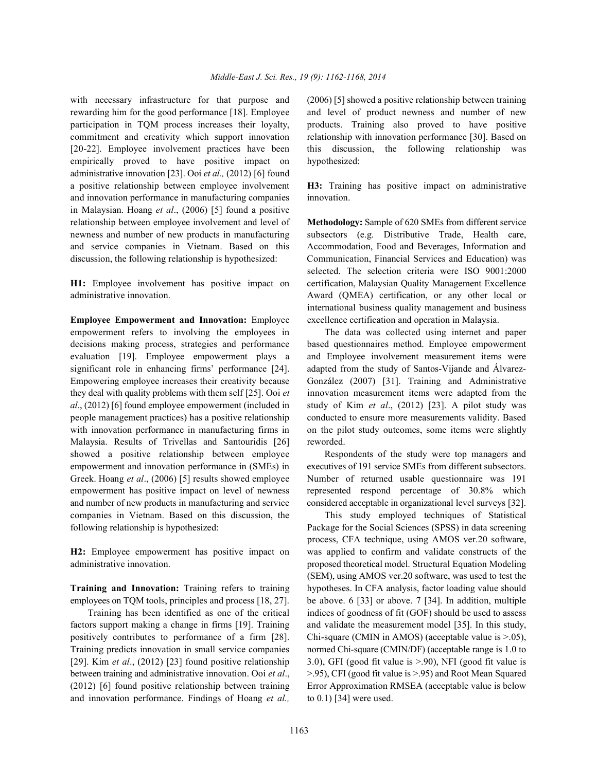rewarding him for the good performance [18]. Employee and level of product newness and number of new participation in TQM process increases their loyalty, products. Training also proved to have positive commitment and creativity which support innovation relationship with innovation performance [30]. Based on [20-22]. Employee involvement practices have been this discussion, the following relationship was empirically proved to have positive impact on hypothesized: administrative innovation [23]. Ooi *et al.,* (2012) [6] found a positive relationship between employee involvement **H3:** Training has positive impact on administrative and innovation performance in manufacturing companies innovation. in Malaysian. Hoang *et al*., (2006) [5] found a positive relationship between employee involvement and level of **Methodology:** Sample of 620 SMEs from different service newness and number of new products in manufacturing subsectors (e.g. Distributive Trade, Health care, and service companies in Vietnam. Based on this Accommodation, Food and Beverages, Information and discussion, the following relationship is hypothesized: Communication, Financial Services and Education) was

administrative innovation. Award (QMEA) certification, or any other local or

empowerment refers to involving the employees in The data was collected using internet and paper decisions making process, strategies and performance based questionnaires method. Employee empowerment evaluation [19]. Employee empowerment plays a and Employee involvement measurement items were significant role in enhancing firms' performance [24]. adapted from the study of Santos-Vijande and Álvarez-Empowering employee increases their creativity because González (2007) [31]. Training and Administrative they deal with quality problems with them self [25]. Ooi *et* innovation measurement items were adapted from the *al*., (2012) [6] found employee empowerment (included in study of Kim *et al*., (2012) [23]. A pilot study was people management practices) has a positive relationship conducted to ensure more measurements validity. Based with innovation performance in manufacturing firms in on the pilot study outcomes, some items were slightly Malaysia. Results of Trivellas and Santouridis [26] reworded. showed a positive relationship between employee Respondents of the study were top managers and empowerment and innovation performance in (SMEs) in executives of 191 service SMEs from different subsectors. Greek. Hoang *et al*., (2006) [5] results showed employee Number of returned usable questionnaire was 191 empowerment has positive impact on level of newness represented respond percentage of 30.8% which and number of new products in manufacturing and service considered acceptable in organizational level surveys [32]. companies in Vietnam. Based on this discussion, the This study employed techniques of Statistical following relationship is hypothesized: Package for the Social Sciences (SPSS) in data screening

employees on TQM tools, principles and process [18, 27]. be above. 6 [33] or above. 7 [34]. In addition, multiple

factors support making a change in firms [19]. Training and validate the measurement model [35]. In this study, positively contributes to performance of a firm [28]. Chi-square (CMIN in AMOS) (acceptable value is >.05), Training predicts innovation in small service companies normed Chi-square (CMIN/DF) (acceptable range is 1.0 to [29]. Kim *et al*., (2012) [23] found positive relationship 3.0), GFI (good fit value is >.90), NFI (good fit value is between training and administrative innovation. Ooi *et al*., >.95), CFI (good fit value is >.95) and Root Mean Squared (2012) [6] found positive relationship between training Error Approximation RMSEA (acceptable value is below and innovation performance. Findings of Hoang *et al.,* to 0.1) [34] were used.

with necessary infrastructure for that purpose and (2006) [5] showed a positive relationship between training

**H1:** Employee involvement has positive impact on certification, Malaysian Quality Management Excellence **Employee Empowerment and Innovation:** Employee excellence certification and operation in Malaysia. selected. The selection criteria were ISO 9001:2000 international business quality management and business

**H2:** Employee empowerment has positive impact on was applied to confirm and validate constructs of the administrative innovation. proposed theoretical model. Structural Equation Modeling **Training and Innovation:** Training refers to training hypotheses. In CFA analysis, factor loading value should Training has been identified as one of the critical indices of goodness of fit (GOF) should be used to assess process, CFA technique, using AMOS ver.20 software, (SEM), using AMOS ver.20 software, was used to test the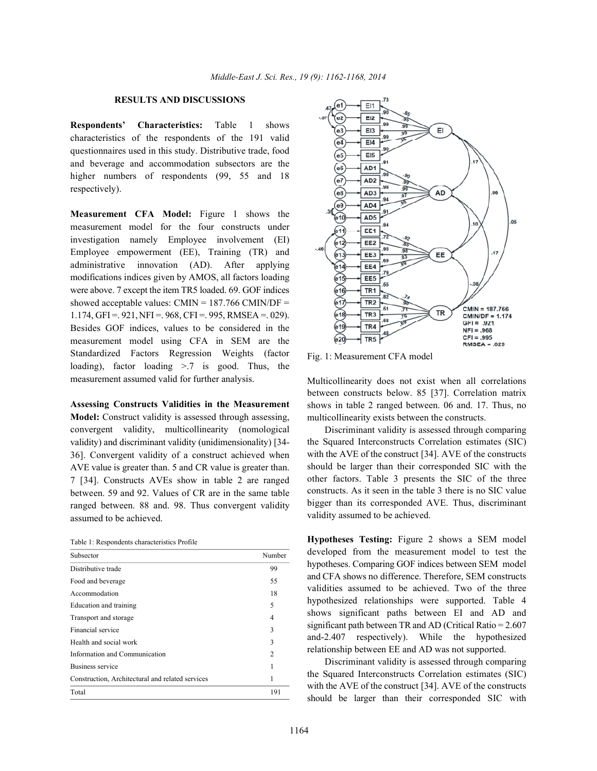# **RESULTS AND DISCUSSIONS**

**Respondents' Characteristics:** Table 1 shows characteristics of the respondents of the 191 valid questionnaires used in this study. Distributive trade, food and beverage and accommodation subsectors are the higher numbers of respondents (99, 55 and 18) respectively).

**Measurement CFA Model:** Figure 1 shows the measurement model for the four constructs under investigation namely Employee involvement (EI) Employee empowerment (EE), Training (TR) and administrative innovation (AD). After applying modifications indices given by AMOS, all factors loading were above. 7 except the item TR5 loaded. 69. GOF indices showed acceptable values:  $CMIN = 187.766$  CMIN/DF = 1.174, GFI = . 921, NFI = . 968, CFI = . 995, RMSEA = . 029). Besides GOF indices, values to be considered in the measurement model using CFA in SEM are the Standardized Factors Regression Weights (factor loading), factor loading >.7 is good. Thus, the measurement assumed valid for further analysis.

**Assessing Constructs Validities in the Measurement Model:** Construct validity is assessed through assessing, convergent validity, multicollinearity (nomological validity) and discriminant validity (unidimensionality) [34- 36]. Convergent validity of a construct achieved when AVE value is greater than. 5 and CR value is greater than. 7 [34]. Constructs AVEs show in table 2 are ranged between. 59 and 92. Values of CR are in the same table ranged between. 88 and. 98. Thus convergent validity assumed to be achieved.

| Table 1: Respondents characteristics Profile |  |  |
|----------------------------------------------|--|--|
|----------------------------------------------|--|--|

| Subsector                                        | Number         |
|--------------------------------------------------|----------------|
| Distributive trade                               | 99             |
| Food and beverage                                | 55             |
| Accommodation                                    | 18             |
| Education and training                           | 5              |
| Transport and storage                            | 4              |
| Financial service                                | 3              |
| Health and social work                           | 3              |
| Information and Communication                    | $\mathfrak{2}$ |
| Business service                                 |                |
| Construction, Architectural and related services | 1              |
| Total                                            | 191            |



Fig. 1: Measurement CFA model

Multicollinearity does not exist when all correlations between constructs below. 85 [37]. Correlation matrix shows in table 2 ranged between. 06 and. 17. Thus, no multicollinearity exists between the constructs.

Discriminant validity is assessed through comparing the Squared Interconstructs Correlation estimates (SIC) with the AVE of the construct [34]. AVE of the constructs should be larger than their corresponded SIC with the other factors. Table 3 presents the SIC of the three constructs. As it seen in the table 3 there is no SIC value bigger than its corresponded AVE. Thus, discriminant validity assumed to be achieved.

**Hypotheses Testing:** Figure 2 shows a SEM model developed from the measurement model to test the hypotheses. Comparing GOF indices between SEM model and CFA shows no difference. Therefore, SEM constructs validities assumed to be achieved. Two of the three hypothesized relationships were supported. Table 4 shows significant paths between EI and AD and significant path between TR and AD (Critical Ratio = 2.607 and-2.407 respectively). While the hypothesized relationship between EE and AD was not supported.

Discriminant validity is assessed through comparing the Squared Interconstructs Correlation estimates (SIC) with the AVE of the construct [34]. AVE of the constructs should be larger than their corresponded SIC with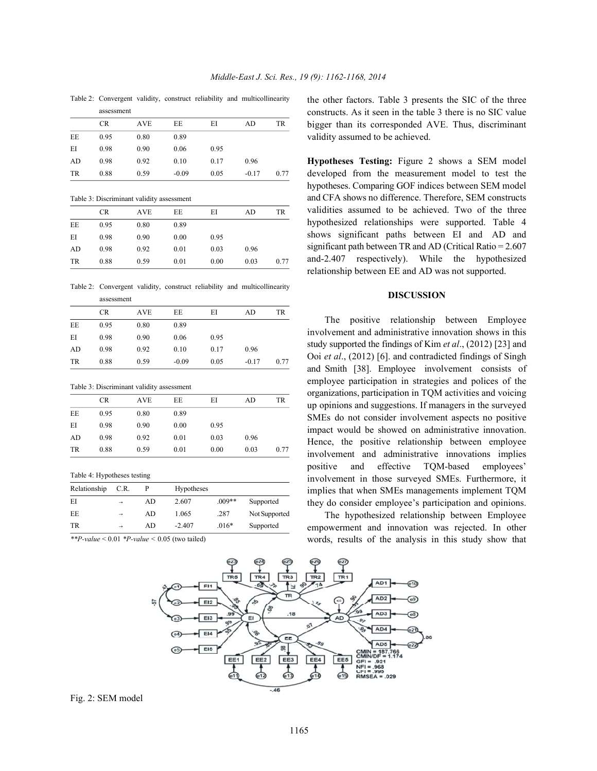Table 2: Convergent validity, construct reliability and multicollinearity assessment

|           |           | <u>assessment</u> |         |      |         |      |  |
|-----------|-----------|-------------------|---------|------|---------|------|--|
|           | <b>CR</b> | <b>AVE</b>        | EE      | ΕI   | AD      | TR   |  |
| EE        | 0.95      | 0.80              | 0.89    |      |         |      |  |
| ΕI        | 0.98      | 0.90              | 0.06    | 0.95 |         |      |  |
| AD        | 0.98      | 0.92              | 0.10    | 0.17 | 0.96    |      |  |
| <b>TR</b> | 0.88      | 0.59              | $-0.09$ | 0.05 | $-0.17$ | 0.77 |  |
|           |           |                   |         |      |         |      |  |

Table 3: Discriminant validity assessment

|           | <b>CR</b> | <b>AVE</b> | EE   | EI   | AD   | TR   |
|-----------|-----------|------------|------|------|------|------|
| EE        | 0.95      | 0.80       | 0.89 |      |      |      |
| ΕI        | 0.98      | 0.90       | 0.00 | 0.95 |      |      |
| AD        | 0.98      | 0.92       | 0.01 | 0.03 | 0.96 |      |
| <b>TR</b> | 0.88      | 0.59       | 0.01 | 0.00 | 0.03 | 0.77 |
|           |           |            |      |      |      |      |

Table 2: Convergent validity, construct reliability and multicollinearity

|           | assessment |            |         |      |         |      |
|-----------|------------|------------|---------|------|---------|------|
|           | <b>CR</b>  | <b>AVE</b> | EE      | EI   | AD      | TR   |
| EE        | 0.95       | 0.80       | 0.89    |      |         |      |
| ΕI        | 0.98       | 0.90       | 0.06    | 0.95 |         |      |
| AD        | 0.98       | 0.92       | 0.10    | 0.17 | 0.96    |      |
| <b>TR</b> | 0.88       | 0.59       | $-0.09$ | 0.05 | $-0.17$ | 0.77 |

Table 3: Discriminant validity assessment

| CR.               | EE<br><b>AVE</b> |      |      |      |
|-------------------|------------------|------|------|------|
|                   |                  | EI   | AD   | TR   |
| EE<br>0.95        | 0.89<br>0.80     |      |      |      |
| ΕI<br>0.98        | 0.90<br>0.00     | 0.95 |      |      |
| AD<br>0.98        | 0.92<br>0.01     | 0.03 | 0.96 |      |
| <b>TR</b><br>0.88 | 0.59<br>0.01     | 0.00 | 0.03 | 0.77 |

Table 4: Hypotheses testing

| Relationship | C.R.          |     | Hypotheses |          |               |
|--------------|---------------|-----|------------|----------|---------------|
| ΕI           | $\rightarrow$ | AD  | 2.607      | $.009**$ | Supported     |
| EE           | $\rightarrow$ | AD. | 1.065      | .287     | Not Supported |
| <b>TR</b>    | $\rightarrow$ | AD  | $-2.407$   | $.016*$  | Supported     |

*\*\*P-value* < 0.01 *\*P-value <* 0.05 (two tailed)

the other factors. Table 3 presents the SIC of the three constructs. As it seen in the table 3 there is no SIC value bigger than its corresponded AVE. Thus, discriminant validity assumed to be achieved.

**Hypotheses Testing:** Figure 2 shows a SEM model developed from the measurement model to test the hypotheses. Comparing GOF indices between SEM model and CFA shows no difference. Therefore, SEM constructs validities assumed to be achieved. Two of the three hypothesized relationships were supported. Table 4 shows significant paths between EI and AD and significant path between TR and AD (Critical Ratio = 2.607 and-2.407 respectively). While the hypothesized relationship between EE and AD was not supported.

### **DISCUSSION**

The positive relationship between Employee involvement and administrative innovation shows in this study supported the findings of Kim *et al*., (2012) [23] and Ooi *et al*., (2012) [6]. and contradicted findings of Singh and Smith [38]. Employee involvement consists of employee participation in strategies and polices of the organizations, participation in TQM activities and voicing up opinions and suggestions. If managers in the surveyed SMEs do not consider involvement aspects no positive impact would be showed on administrative innovation. Hence, the positive relationship between employee involvement and administrative innovations implies positive and effective TQM-based employees' involvement in those surveyed SMEs. Furthermore, it implies that when SMEs managements implement TQM they do consider employee's participation and opinions.

The hypothesized relationship between Employee empowerment and innovation was rejected. In other words, results of the analysis in this study show that



Fig. 2: SEM model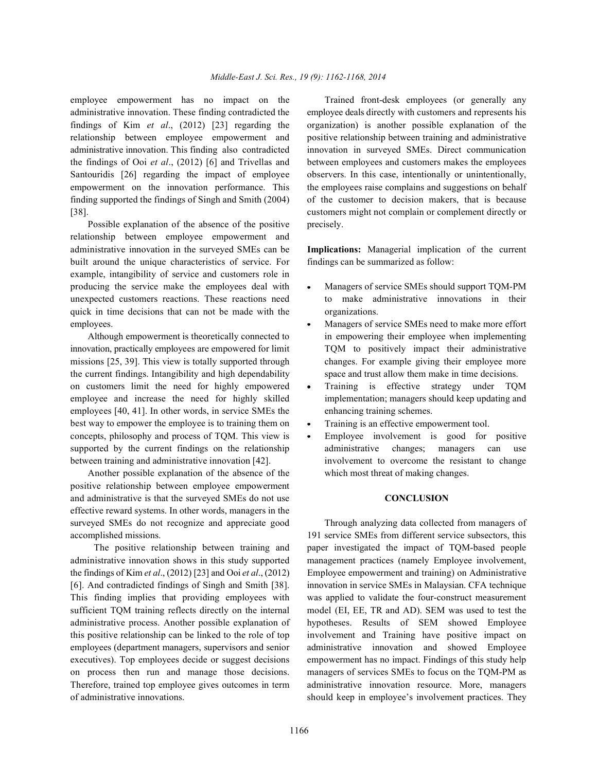administrative innovation. These finding contradicted the employee deals directly with customers and represents his findings of Kim *et al*., (2012) [23] regarding the organization) is another possible explanation of the relationship between employee empowerment and positive relationship between training and administrative administrative innovation. This finding also contradicted innovation in surveyed SMEs. Direct communication the findings of Ooi *et al*., (2012) [6] and Trivellas and between employees and customers makes the employees Santouridis [26] regarding the impact of employee observers. In this case, intentionally or unintentionally, empowerment on the innovation performance. This the employees raise complains and suggestions on behalf finding supported the findings of Singh and Smith (2004) of the customer to decision makers, that is because [38]. customers might not complain or complement directly or

Possible explanation of the absence of the positive precisely. relationship between employee empowerment and administrative innovation in the surveyed SMEs can be **Implications:** Managerial implication of the current built around the unique characteristics of service. For findings can be summarized as follow: example, intangibility of service and customers role in producing the service make the employees deal with • Managers of service SMEs should support TQM-PM unexpected customers reactions. These reactions need to make administrative innovations in their quick in time decisions that can not be made with the organizations. employees. **Managers of service SMEs need to make more effort** 

innovation, practically employees are empowered for limit TQM to positively impact their administrative missions [25, 39]. This view is totally supported through changes. For example giving their employee more the current findings. Intangibility and high dependability space and trust allow them make in time decisions. on customers limit the need for highly empowered • Training is effective strategy under TQM employee and increase the need for highly skilled implementation; managers should keep updating and employees [40, 41]. In other words, in service SMEs the enhancing training schemes. best way to empower the employee is to training them on  $\bullet$  Training is an effective empowerment tool. concepts, philosophy and process of TOM. This view is  $\bullet$  Employee involvement is good for positive supported by the current findings on the relationship administrative changes; managers can use

Another possible explanation of the absence of the which most threat of making changes. positive relationship between employee empowerment and administrative is that the surveyed SMEs do not use **CONCLUSION** effective reward systems. In other words, managers in the surveyed SMEs do not recognize and appreciate good Through analyzing data collected from managers of accomplished missions. 191 service SMEs from different service subsectors, this

administrative innovation shows in this study supported management practices (namely Employee involvement, the findings of Kim *et al*., (2012) [23] and Ooi *et al*., (2012) Employee empowerment and training) on Administrative [6]. And contradicted findings of Singh and Smith [38]. innovation in service SMEs in Malaysian. CFA technique sufficient TQM training reflects directly on the internal model (EI, EE, TR and AD). SEM was used to test the administrative process. Another possible explanation of hypotheses. Results of SEM showed Employee this positive relationship can be linked to the role of top involvement and Training have positive impact on employees (department managers, supervisors and senior administrative innovation and showed Employee executives). Top employees decide or suggest decisions empowerment has no impact. Findings of this study help on process then run and manage those decisions. managers of services SMEs to focus on the TQM-PM as Therefore, trained top employee gives outcomes in term administrative innovation resource. More, managers of administrative innovations. should keep in employee's involvement practices. They

employee empowerment has no impact on the Trained front-desk employees (or generally any

- 
- Although empowerment is theoretically connected to in empowering their employee when implementing
	-
	-
- between training and administrative innovation [42]. involvement to overcome the resistant to change

 The positive relationship between training and paper investigated the impact of TQM-based people This finding implies that providing employees with was applied to validate the four-construct measurement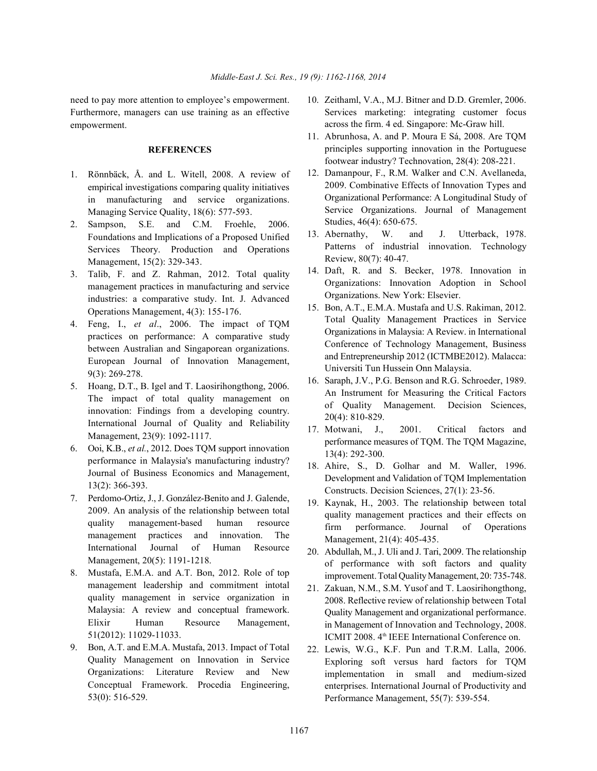Furthermore, managers can use training as an effective empowerment.

# **REFERENCES**

- 1. Rönnbäck, Å. and L. Witell, 2008. A review of empirical investigations comparing quality initiatives in manufacturing and service organizations. Managing Service Quality, 18(6): 577-593.
- 2. Sampson, S.E. and C.M. Froehle, 2006. Foundations and Implications of a Proposed Unified Services Theory. Production and Operations Management, 15(2): 329-343.
- 3. Talib, F. and Z. Rahman, 2012. Total quality management practices in manufacturing and service industries: a comparative study. Int. J. Advanced Operations Management, 4(3): 155-176.
- 4. Feng, I., *et al*., 2006. The impact of TQM practices on performance: A comparative study between Australian and Singaporean organizations. European Journal of Innovation Management, 9(3): 269-278.
- 5. Hoang, D.T., B. Igel and T. Laosirihongthong, 2006. The impact of total quality management on innovation: Findings from a developing country. International Journal of Quality and Reliability Management, 23(9): 1092-1117.
- 6. Ooi, K.B., *et al.*, 2012. Does TQM support innovation performance in Malaysia's manufacturing industry? Journal of Business Economics and Management, 13(2): 366-393.
- 7. Perdomo-Ortiz, J., J. González-Benito and J. Galende, 2009. An analysis of the relationship between total quality management-based human resource management practices and innovation. The International Journal of Human Resource Management, 20(5): 1191-1218.
- 8. Mustafa, E.M.A. and A.T. Bon, 2012. Role of top management leadership and commitment intotal quality management in service organization in Malaysia: A review and conceptual framework. Elixir Human Resource Management, 51(2012): 11029-11033.
- 9. Bon, A.T. and E.M.A. Mustafa, 2013. Impact of Total Quality Management on Innovation in Service Organizations: Literature Review and New Conceptual Framework. Procedia Engineering, 53(0): 516-529.
- need to pay more attention to employee's empowerment. 10. Zeithaml, V.A., M.J. Bitner and D.D. Gremler, 2006. Services marketing: integrating customer focus across the firm. 4 ed. Singapore: Mc-Graw hill.
	- 11. Abrunhosa, A. and P. Moura E Sá, 2008. Are TQM principles supporting innovation in the Portuguese footwear industry? Technovation, 28(4): 208-221.
	- 12. Damanpour, F., R.M. Walker and C.N. Avellaneda, 2009. Combinative Effects of Innovation Types and Organizational Performance: A Longitudinal Study of Service Organizations. Journal of Management Studies, 46(4): 650-675.
	- 13. Abernathy, W. and J. Utterback, 1978. Patterns of industrial innovation. Technology Review, 80(7): 40-47.
	- 14. Daft, R. and S. Becker, 1978. Innovation in Organizations: Innovation Adoption in School Organizations. New York: Elsevier.
	- 15. Bon, A.T., E.M.A. Mustafa and U.S. Rakiman, 2012. Total Quality Management Practices in Service Organizations in Malaysia: A Review. in International Conference of Technology Management, Business and Entrepreneurship 2012 (ICTMBE2012). Malacca: Universiti Tun Hussein Onn Malaysia.
	- 16. Saraph, J.V., P.G. Benson and R.G. Schroeder, 1989. An Instrument for Measuring the Critical Factors of Quality Management. Decision Sciences, 20(4): 810-829.
	- 17. Motwani, J., 2001. Critical factors and performance measures of TQM. The TQM Magazine, 13(4): 292-300.
	- 18. Ahire, S., D. Golhar and M. Waller, 1996. Development and Validation of TQM Implementation Constructs. Decision Sciences, 27(1): 23-56.
	- 19. Kaynak, H., 2003. The relationship between total quality management practices and their effects on firm performance. Journal of Operations Management, 21(4): 405-435.
	- 20. Abdullah, M., J. Uli and J. Tari, 2009. The relationship of performance with soft factors and quality improvement. Total Quality Management, 20: 735-748.
	- 21. Zakuan, N.M., S.M. Yusof and T. Laosirihongthong, 2008. Reflective review of relationship between Total Quality Management and organizational performance. in Management of Innovation and Technology, 2008. ICMIT 2008. 4<sup>th</sup> IEEE International Conference on.
	- 22. Lewis, W.G., K.F. Pun and T.R.M. Lalla, 2006. Exploring soft versus hard factors for TQM implementation in small and medium-sized enterprises. International Journal of Productivity and Performance Management, 55(7): 539-554.